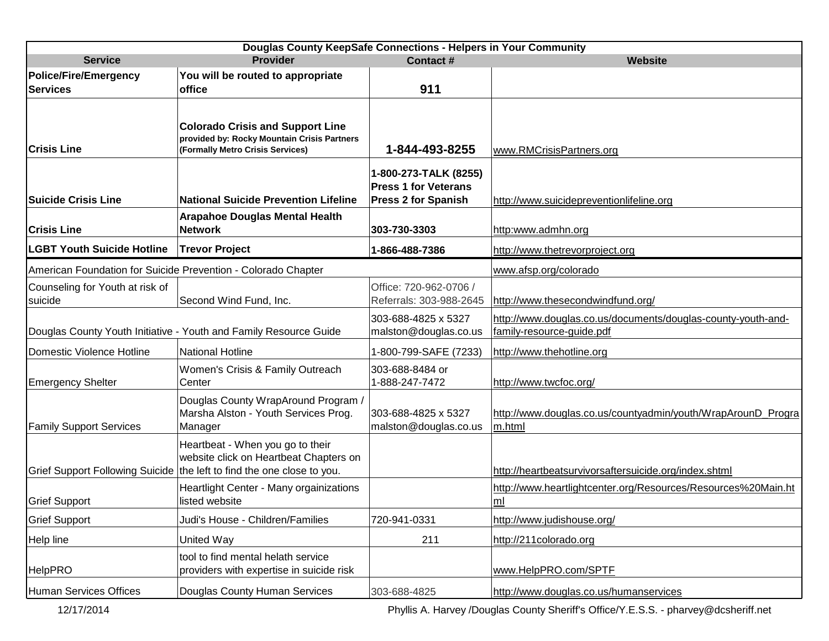| Douglas County KeepSafe Connections - Helpers in Your Community |                                                                                                                                                      |                                                                                    |                                                                                           |  |  |
|-----------------------------------------------------------------|------------------------------------------------------------------------------------------------------------------------------------------------------|------------------------------------------------------------------------------------|-------------------------------------------------------------------------------------------|--|--|
| <b>Service</b>                                                  | <b>Provider</b>                                                                                                                                      | <b>Website</b>                                                                     |                                                                                           |  |  |
| Police/Fire/Emergency<br><b>Services</b>                        | You will be routed to appropriate<br>office                                                                                                          | 911                                                                                |                                                                                           |  |  |
| <b>Crisis Line</b>                                              | <b>Colorado Crisis and Support Line</b><br>provided by: Rocky Mountain Crisis Partners<br>(Formally Metro Crisis Services)                           | 1-844-493-8255                                                                     | www.RMCrisisPartners.org                                                                  |  |  |
| Suicide Crisis Line                                             | <b>National Suicide Prevention Lifeline</b>                                                                                                          | 1-800-273-TALK (8255)<br><b>Press 1 for Veterans</b><br><b>Press 2 for Spanish</b> | http://www.suicidepreventionlifeline.org                                                  |  |  |
| <b>Crisis Line</b>                                              | <b>Arapahoe Douglas Mental Health</b><br><b>Network</b>                                                                                              | 303-730-3303                                                                       | http:www.admhn.org                                                                        |  |  |
| <b>LGBT Youth Suicide Hotline</b>                               | <b>Trevor Project</b>                                                                                                                                | 1-866-488-7386                                                                     | http://www.thetrevorproject.org                                                           |  |  |
|                                                                 | American Foundation for Suicide Prevention - Colorado Chapter                                                                                        |                                                                                    | www.afsp.org/colorado                                                                     |  |  |
| Counseling for Youth at risk of<br>suicide                      | Second Wind Fund, Inc.                                                                                                                               | Office: 720-962-0706 /<br>Referrals: 303-988-2645                                  | http://www.thesecondwindfund.org/                                                         |  |  |
|                                                                 | Douglas County Youth Initiative - Youth and Family Resource Guide                                                                                    | 303-688-4825 x 5327<br>malston@douglas.co.us                                       | http://www.douglas.co.us/documents/douglas-county-youth-and-<br>family-resource-guide.pdf |  |  |
| Domestic Violence Hotline                                       | <b>National Hotline</b>                                                                                                                              | 1-800-799-SAFE (7233)                                                              | http://www.thehotline.org                                                                 |  |  |
| <b>Emergency Shelter</b>                                        | Women's Crisis & Family Outreach<br>Center                                                                                                           | 303-688-8484 or<br>1-888-247-7472                                                  | http://www.twcfoc.org/                                                                    |  |  |
| <b>Family Support Services</b>                                  | Douglas County WrapAround Program /<br>Marsha Alston - Youth Services Prog.<br>Manager                                                               | 303-688-4825 x 5327<br>malston@douglas.co.us                                       | http://www.douglas.co.us/countyadmin/youth/WrapArounD_Progra<br>m.html                    |  |  |
|                                                                 | Heartbeat - When you go to their<br>website click on Heartbeat Chapters on<br>Grief Support Following Suicide the left to find the one close to you. |                                                                                    | http://heartbeatsurvivorsaftersuicide.org/index.shtml                                     |  |  |
| <b>Grief Support</b>                                            | Heartlight Center - Many orgainizations<br>listed website                                                                                            |                                                                                    | http://www.heartlightcenter.org/Resources/Resources%20Main.ht<br>$\mathsf{m}\mathsf{l}$   |  |  |
| <b>Grief Support</b>                                            | Judi's House - Children/Families                                                                                                                     | 720-941-0331                                                                       | http://www.judishouse.org/                                                                |  |  |
| Help line                                                       | United Way                                                                                                                                           | 211                                                                                | http://211colorado.org                                                                    |  |  |
| <b>HelpPRO</b>                                                  | tool to find mental helath service<br>providers with expertise in suicide risk                                                                       |                                                                                    | www.HelpPRO.com/SPTF                                                                      |  |  |
| Human Services Offices                                          | Douglas County Human Services                                                                                                                        | 303-688-4825                                                                       | http://www.douglas.co.us/humanservices                                                    |  |  |

12/17/2014 Phyllis A. Harvey /Douglas County Sheriff's Office/Y.E.S.S. - pharvey@dcsheriff.net